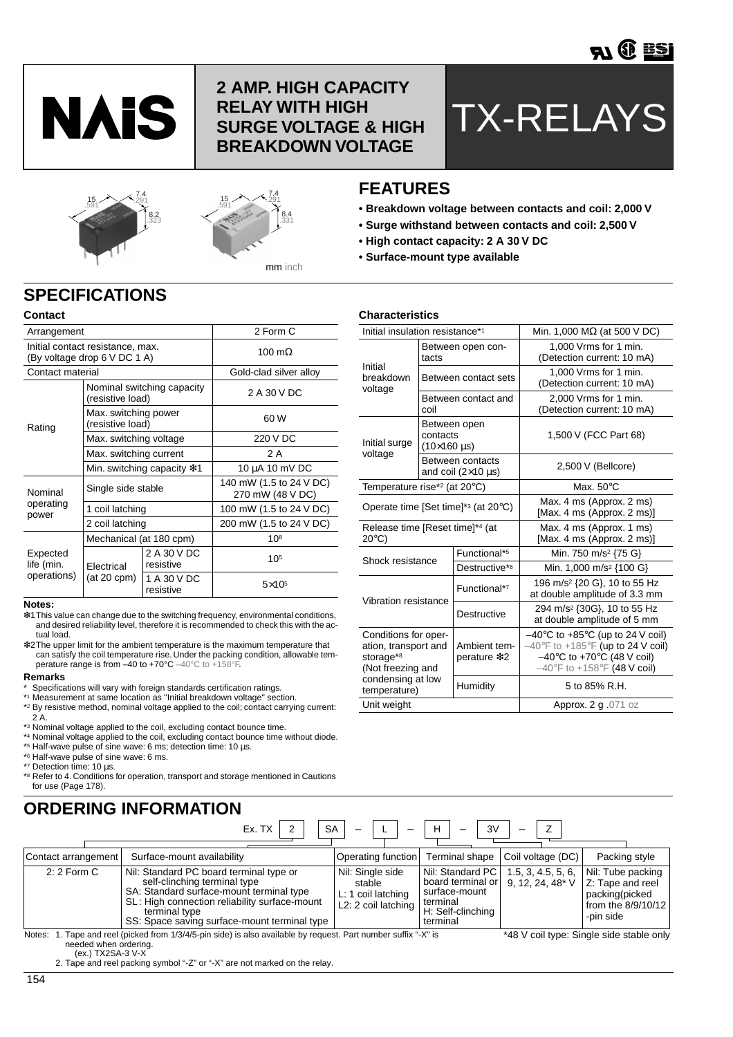

# **2 AMP. HIGH CAPACITY RELAY WITH HIGH SURGE VOLTAGE & HIGH BREAKDOWN VOLTAGE**

# TX-RELAYS





# **FEATURES**

**Characteristics**

- **Breakdown voltage between contacts and coil: 2,000 V**
- **Surge withstand between contacts and coil: 2,500 V**
- **High contact capacity: 2 A 30 V DC**
- **Surface-mount type available**

# **SPECIFICATIONS**

| Contact                               |                                                                  |                            |                                             |
|---------------------------------------|------------------------------------------------------------------|----------------------------|---------------------------------------------|
| Arrangement                           |                                                                  | 2 Form C                   |                                             |
|                                       | Initial contact resistance, max.<br>(By voltage drop 6 V DC 1 A) | 100 $m\Omega$              |                                             |
| Contact material                      |                                                                  |                            | Gold-clad silver alloy                      |
|                                       | (resistive load)                                                 | Nominal switching capacity | 2 A 30 V DC                                 |
| Rating                                | Max. switching power<br>(resistive load)                         |                            | 60 W                                        |
|                                       | Max. switching voltage                                           |                            | 220 V DC                                    |
|                                       | Max. switching current                                           |                            | 2 A                                         |
|                                       |                                                                  | Min. switching capacity *1 | 10 μA 10 mV DC                              |
| Nominal                               | Single side stable                                               |                            | 140 mW (1.5 to 24 V DC)<br>270 mW (48 V DC) |
| operating<br>power                    | 1 coil latching                                                  |                            | 100 mW (1.5 to 24 V DC)                     |
|                                       | 2 coil latching                                                  |                            | 200 mW (1.5 to 24 V DC)                     |
|                                       | Mechanical (at 180 cpm)                                          |                            | $10^{8}$                                    |
| Expected<br>life (min.<br>operations) | Flectrical                                                       | 2 A 30 V DC<br>resistive   | 105                                         |
|                                       | $(at 20$ cpm $)$                                                 | 1 A 30 V DC<br>resistive   | $5\times105$                                |

#### **Notes:**

- ❇1This value can change due to the switching frequency, environmental conditions, and desired reliability level, therefore it is recommended to check this with the actual load.
- ❇2The upper limit for the ambient temperature is the maximum temperature that can satisfy the coil temperature rise. Under the packing condition, allowable temperature range is from –40 to +70°C –40°C to +158°F.

#### **Remarks**

- Specifications will vary with foreign standards certification ratings.
- \*1 Measurement at same location as "Initial breakdown voltage" section.
- \*2 By resistive method, nominal voltage applied to the coil; contact carrying current:  $2A$ .
- \*3 Nominal voltage applied to the coil, excluding contact bounce time.
- \*4 Nominal voltage applied to the coil, excluding contact bounce time without diode.
- \*5 Half-wave pulse of sine wave: 6 ms; detection time: 10 µs.
- \*6 Half-wave pulse of sine wave: 6 ms.
- \*7 Detection time: 10 µs.
- \*8 Refer to 4. Conditions for operation, transport and storage mentioned in Cautions for use (Page 178).

# **ORDERING INFORMATION**

| Ex. TX                                                                                                                                                                                                                                                | <b>SA</b>                                                               | 3V<br>н                                                                                                                |                    |                                                                                            |
|-------------------------------------------------------------------------------------------------------------------------------------------------------------------------------------------------------------------------------------------------------|-------------------------------------------------------------------------|------------------------------------------------------------------------------------------------------------------------|--------------------|--------------------------------------------------------------------------------------------|
| Surface-mount availability<br>Contact arrangement                                                                                                                                                                                                     | Operating function                                                      | Terminal shape                                                                                                         | Coil voltage (DC)  | Packing style                                                                              |
| Nil: Standard PC board terminal type or<br>$2:2$ Form C<br>self-clinching terminal type<br>SA: Standard surface-mount terminal type<br>SL: High connection reliability surface-mount<br>terminal type<br>SS: Space saving surface-mount terminal type | Nil: Single side<br>stable<br>L: 1 coil latching<br>L2: 2 coil latching | Nil: Standard PC<br>board terminal or   9, 12, 24, 48* V<br>surface-mount<br>terminal<br>H: Self-clinching<br>terminal | 1.5, 3, 4.5, 5, 6, | Nil: Tube packing<br>Z: Tape and reel<br>packing(picked<br>from the 8/9/10/12<br>-pin side |

Notes: 1. Tape and reel (picked from 1/3/4/5-pin side) is also available by request. Part number suffix "-X" is needed when ordering. (ex.) TX2SA-3 V-X

2. Tape and reel packing symbol "-Z" or "-X" are not marked on the relay.

\*48 V coil type: Single side stable only

| Unaracteristics                                                                |                                     |                                                    |                                                                                                                                                                                                                        |  |  |  |
|--------------------------------------------------------------------------------|-------------------------------------|----------------------------------------------------|------------------------------------------------------------------------------------------------------------------------------------------------------------------------------------------------------------------------|--|--|--|
| Initial insulation resistance* <sup>1</sup>                                    |                                     |                                                    | Min. 1,000 M $\Omega$ (at 500 V DC)                                                                                                                                                                                    |  |  |  |
|                                                                                | tacts                               | Between open con-                                  | 1.000 Vrms for 1 min.<br>(Detection current: 10 mA)                                                                                                                                                                    |  |  |  |
| Initial<br>breakdown<br>voltage                                                |                                     | Between contact sets                               | 1,000 Vrms for 1 min.<br>(Detection current: 10 mA)                                                                                                                                                                    |  |  |  |
|                                                                                | coil                                | Between contact and                                | 2,000 Vrms for 1 min.<br>(Detection current: 10 mA)                                                                                                                                                                    |  |  |  |
| Initial surge<br>voltage                                                       | contacts<br>$(10\times160 \,\mu s)$ | Between open                                       | 1,500 V (FCC Part 68)                                                                                                                                                                                                  |  |  |  |
|                                                                                |                                     | Between contacts<br>and coil $(2\times10 \,\mu s)$ | 2,500 V (Bellcore)                                                                                                                                                                                                     |  |  |  |
| Temperature rise* <sup>2</sup> (at 20°C)                                       |                                     |                                                    | Max. $50^{\circ}$ C                                                                                                                                                                                                    |  |  |  |
|                                                                                |                                     | Operate time [Set time]* $3$ (at 20 $\degree$ C)   | Max. 4 ms (Approx. 2 ms)<br>[Max. 4 ms (Approx. 2 ms)]                                                                                                                                                                 |  |  |  |
| Release time [Reset time]*4 (at<br>$20^{\circ}$ C)                             |                                     |                                                    | Max. 4 ms (Approx. 1 ms)<br>[Max. 4 ms (Approx. 2 ms)]                                                                                                                                                                 |  |  |  |
| Shock resistance                                                               |                                     | Functional*5                                       | Min. 750 m/s <sup>2</sup> {75 G}                                                                                                                                                                                       |  |  |  |
|                                                                                |                                     | Destructive*6                                      | Min. 1,000 m/s <sup>2</sup> {100 G}                                                                                                                                                                                    |  |  |  |
| Vibration resistance                                                           |                                     | Functional*7                                       | 196 m/s <sup>2</sup> {20 G}, 10 to 55 Hz<br>at double amplitude of 3.3 mm                                                                                                                                              |  |  |  |
|                                                                                |                                     | Destructive                                        | 294 m/s <sup>2</sup> {30G}, 10 to 55 Hz<br>at double amplitude of 5 mm                                                                                                                                                 |  |  |  |
| Conditions for oper-<br>ation, transport and<br>storage*8<br>(Not freezing and |                                     | Ambient tem-<br>perature *2                        | $-40^{\circ}$ C to +85 $^{\circ}$ C (up to 24 V coil)<br>$-40^{\circ}$ F to +185 $^{\circ}$ F (up to 24 V coil)<br>$-40^{\circ}$ C to +70 $^{\circ}$ C (48 V coil)<br>$-40^{\circ}$ F to +158 $^{\circ}$ F (48 V coil) |  |  |  |
| condensing at low<br>temperature)                                              |                                     | Humidity                                           | 5 to 85% R.H.                                                                                                                                                                                                          |  |  |  |
| Unit weight                                                                    |                                     |                                                    | Approx. 2 g .071 oz                                                                                                                                                                                                    |  |  |  |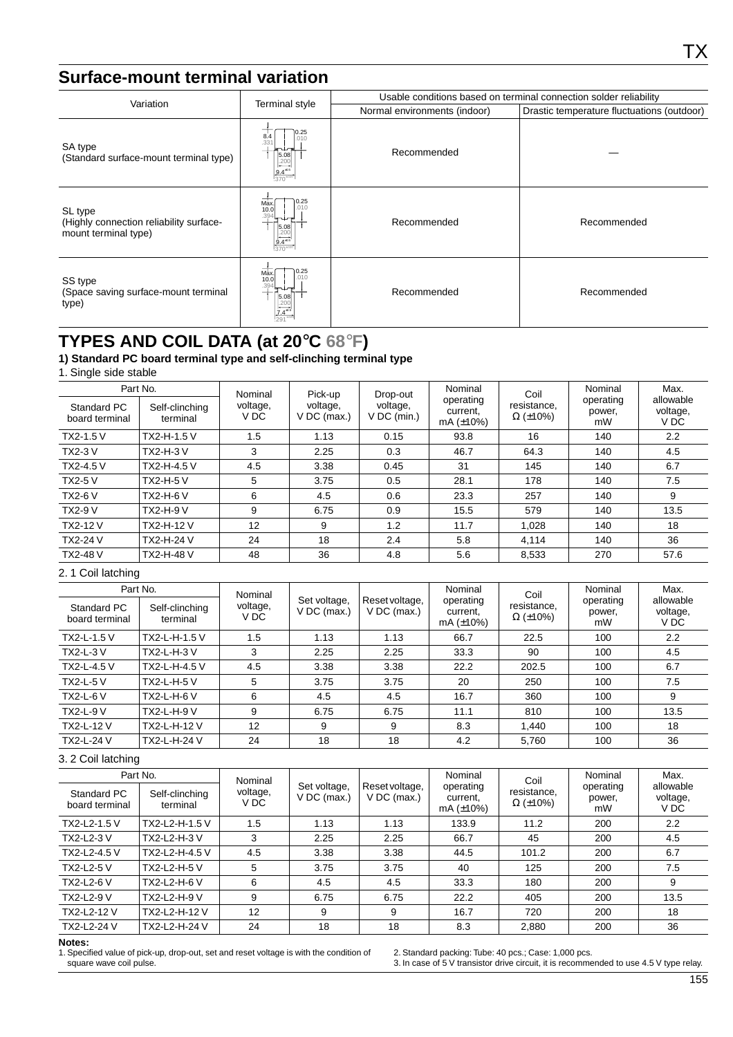# **Surface-mount terminal variation**

| Variation                                                                  | Terminal style                                                       | Usable conditions based on terminal connection solder reliability |                                            |  |  |  |  |
|----------------------------------------------------------------------------|----------------------------------------------------------------------|-------------------------------------------------------------------|--------------------------------------------|--|--|--|--|
|                                                                            |                                                                      | Normal environments (indoor)                                      | Drastic temperature fluctuations (outdoor) |  |  |  |  |
| SA type<br>(Standard surface-mount terminal type)                          | .25<br>8.4<br>.010<br>.331<br>5.08<br>$\frac{9.4^{10.5}}{370^{102}}$ | Recommended                                                       |                                            |  |  |  |  |
| SL type<br>(Highly connection reliability surface-<br>mount terminal type) | 0.25<br>Max.<br>.010<br>10.0<br>5.08                                 | Recommended                                                       | Recommended                                |  |  |  |  |
| SS type<br>(Space saving surface-mount terminal<br>type)                   | 0.25<br>Max<br>.010<br>10.0<br>$5.08$<br>.200                        | Recommended                                                       | Recommended                                |  |  |  |  |

# **TYPES AND COIL DATA (at 20**°**C 68**°**F)**

**1) Standard PC board terminal type and self-clinching terminal type**

1. Single side stable

| Standard PC<br>board terminal | Part No.<br>Self-clinching<br>terminal | Nominal<br>voltage,<br>V DC | Pick-up<br>voltage,<br>$V$ DC (max.) | Drop-out<br>voltage,<br>V DC (min.) | Nominal<br>operating<br>current,<br>mA $(\pm 10\%)$ | Coil<br>resistance,<br>$\Omega$ (±10%) | Nominal<br>operating<br>power,<br>mW | Max.<br>allowable<br>voltage,<br>V DC |
|-------------------------------|----------------------------------------|-----------------------------|--------------------------------------|-------------------------------------|-----------------------------------------------------|----------------------------------------|--------------------------------------|---------------------------------------|
| <b>TX2-1.5 V</b>              | TX2-H-1.5 V                            | 1.5                         | 1.13                                 | 0.15                                | 93.8                                                | 16                                     | 140                                  | $2.2^{\circ}$                         |
| <b>TX2-3 V</b>                | <b>TX2-H-3 V</b>                       | 3                           | 2.25                                 | 0.3                                 | 46.7                                                | 64.3                                   | 140                                  | 4.5                                   |
| TX2-4.5 V                     | TX2-H-4.5 V                            | 4.5                         | 3.38                                 | 0.45                                | 31                                                  | 145                                    | 140                                  | 6.7                                   |
| <b>TX2-5 V</b>                | <b>TX2-H-5 V</b>                       | 5                           | 3.75                                 | 0.5                                 | 28.1                                                | 178                                    | 140                                  | 7.5                                   |
| <b>TX2-6 V</b>                | TX2-H-6 V                              | 6                           | 4.5                                  | 0.6                                 | 23.3                                                | 257                                    | 140                                  | 9                                     |
| <b>TX2-9 V</b>                | <b>TX2-H-9 V</b>                       | 9                           | 6.75                                 | 0.9                                 | 15.5                                                | 579                                    | 140                                  | 13.5                                  |
| <b>TX2-12 V</b>               | TX2-H-12 V                             | 12                          | 9                                    | 1.2                                 | 11.7                                                | 1,028                                  | 140                                  | 18                                    |
| <b>TX2-24 V</b>               | <b>TX2-H-24 V</b>                      | 24                          | 18                                   | 2.4                                 | 5.8                                                 | 4,114                                  | 140                                  | 36                                    |
| <b>TX2-48 V</b>               | TX2-H-48 V                             | 48                          | 36                                   | 4.8                                 | 5.6                                                 | 8,533                                  | 270                                  | 57.6                                  |

#### 2. 1 Coil latching

| Part No.                      |                            | Nominal          |                               |                                 | Nominal                                  | Coil                           | Nominal                   | Max.                          |
|-------------------------------|----------------------------|------------------|-------------------------------|---------------------------------|------------------------------------------|--------------------------------|---------------------------|-------------------------------|
| Standard PC<br>board terminal | Self-clinching<br>terminal | voltage,<br>V DC | Set voltage,<br>$V$ DC (max.) | Reset voltage,<br>$V$ DC (max.) | operating<br>current.<br>mA $(\pm 10\%)$ | resistance,<br>$\Omega$ (±10%) | operating<br>power,<br>mW | allowable<br>voltage,<br>V DC |
| TX2-L-1.5 V                   | TX2-L-H-1.5 V              | 1.5              | 1.13                          | 1.13                            | 66.7                                     | 22.5                           | 100                       | 2.2                           |
| <b>TX2-L-3 V</b>              | <b>TX2-L-H-3 V</b>         | 3                | 2.25                          | 2.25                            | 33.3                                     | 90                             | 100                       | 4.5                           |
| TX2-L-4.5 V                   | TX2-L-H-4.5 V              | 4.5              | 3.38                          | 3.38                            | 22.2                                     | 202.5                          | 100                       | 6.7                           |
| <b>TX2-L-5 V</b>              | <b>TX2-L-H-5 V</b>         | 5                | 3.75                          | 3.75                            | 20                                       | 250                            | 100                       | 7.5                           |
| <b>TX2-L-6 V</b>              | TX2-L-H-6 V                | 6                | 4.5                           | 4.5                             | 16.7                                     | 360                            | 100                       | 9                             |
| <b>TX2-L-9 V</b>              | <b>TX2-L-H-9 V</b>         | 9                | 6.75                          | 6.75                            | 11.1                                     | 810                            | 100                       | 13.5                          |
| <b>TX2-L-12 V</b>             | TX2-L-H-12 V               | 12               | 9                             | 9                               | 8.3                                      | 1.440                          | 100                       | 18                            |
| <b>TX2-L-24 V</b>             | TX2-L-H-24 V               | 24               | 18                            | 18                              | 4.2                                      | 5.760                          | 100                       | 36                            |

#### 3. 2 Coil latching

| Part No.                      |                            | Nominal                                           |      |                                 | Nominal                                  | Coil                           | Nominal                   | Max.<br>allowable<br>voltage,<br>V DC |
|-------------------------------|----------------------------|---------------------------------------------------|------|---------------------------------|------------------------------------------|--------------------------------|---------------------------|---------------------------------------|
| Standard PC<br>board terminal | Self-clinching<br>terminal | Set voltage,<br>voltage,<br>$V$ DC (max.)<br>V DC |      | Reset voltage,<br>$V$ DC (max.) | operating<br>current,<br>mA $(\pm 10\%)$ | resistance,<br>$\Omega$ (±10%) | operating<br>power,<br>mW |                                       |
| TX2-L2-1.5 V                  | TX2-L2-H-1.5 V             | 1.5                                               | 1.13 | 1.13                            | 133.9                                    | 11.2                           | 200                       | 2.2                                   |
| <b>TX2-L2-3V</b>              | TX2-L2-H-3 V               | 3                                                 | 2.25 | 2.25                            | 66.7                                     | 45                             | 200                       | 4.5                                   |
| TX2-L2-4.5 V                  | TX2-L2-H-4.5 V             | 4.5                                               | 3.38 | 3.38                            | 44.5                                     | 101.2                          | 200                       | 6.7                                   |
| <b>TX2-L2-5 V</b>             | TX2-L2-H-5 V               | 5                                                 | 3.75 | 3.75                            | 40                                       | 125                            | 200                       | 7.5                                   |
| <b>TX2-L2-6 V</b>             | TX2-L2-H-6 V               | 6                                                 | 4.5  | 4.5                             | 33.3                                     | 180                            | 200                       | 9                                     |
| <b>TX2-L2-9 V</b>             | TX2-L2-H-9 V               | 9                                                 | 6.75 | 6.75                            | 22.2                                     | 405                            | 200                       | 13.5                                  |
| TX2-L2-12 V                   | TX2-L2-H-12 V              | 12                                                | 9    | 9                               | 16.7                                     | 720                            | 200                       | 18                                    |
| TX2-L2-24 V                   | TX2-L2-H-24 V              | 24                                                | 18   | 18                              | 8.3                                      | 2,880                          | 200                       | 36                                    |

#### **Notes:**

1. Specified value of pick-up, drop-out, set and reset voltage is with the condition of square wave coil pulse.

2. Standard packing: Tube: 40 pcs.; Case: 1,000 pcs. 3. In case of 5 V transistor drive circuit, it is recommended to use 4.5 V type relay.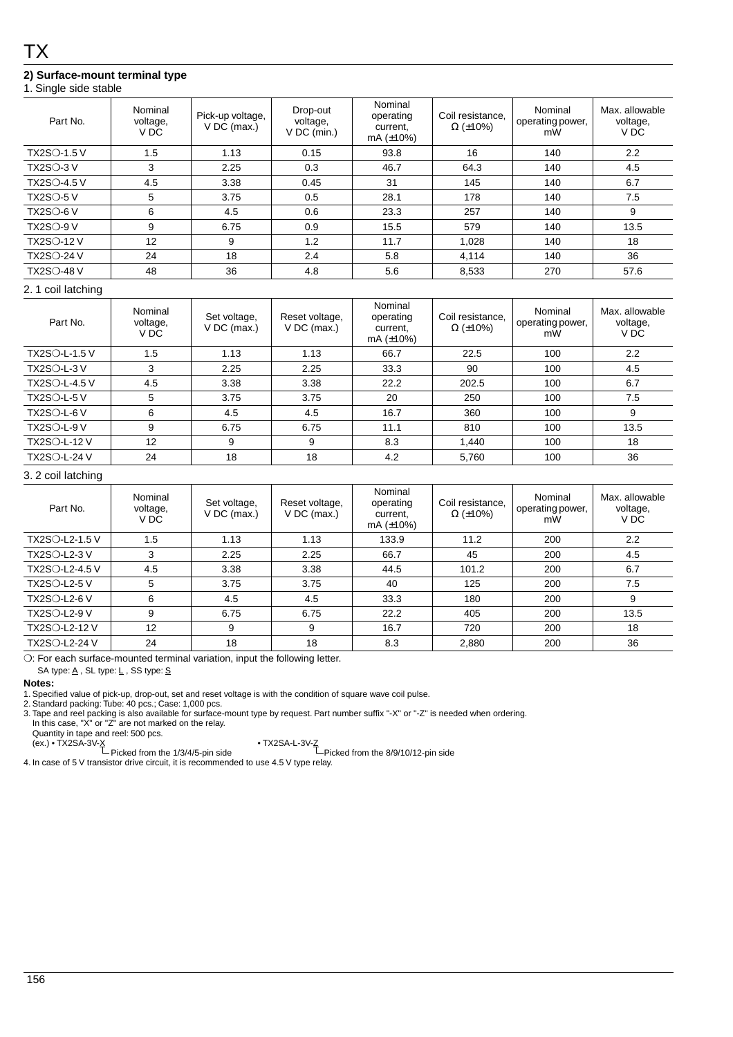## **2) Surface-mount terminal type**

### 1. Single side stable

| Part No.           | Nominal<br>voltage,<br>V DC | Pick-up voltage,<br>$V$ DC (max.) | Drop-out<br>voltage,<br>$V$ DC (min.) | Nominal<br>operating<br>current.<br>mA $(\pm 10\%)$ | Coil resistance.<br>$\Omega$ (±10%) | Nominal<br>operating power,<br>mW | Max. allowable<br>voltage,<br>V <sub>DC</sub> |
|--------------------|-----------------------------|-----------------------------------|---------------------------------------|-----------------------------------------------------|-------------------------------------|-----------------------------------|-----------------------------------------------|
| <b>TX2SO-1.5 V</b> | 1.5                         | 1.13                              | 0.15                                  | 93.8                                                | 16                                  | 140                               | 2.2                                           |
| $TX2SO-3V$         | 3                           | 2.25                              | 0.3                                   | 46.7                                                | 64.3                                | 140                               | 4.5                                           |
| <b>TX2SO-4.5 V</b> | 4.5                         | 3.38                              | 0.45                                  | 31                                                  | 145                                 | 140                               | 6.7                                           |
| $TX2SO-5V$         | 5                           | 3.75                              | 0.5                                   | 28.1                                                | 178                                 | 140                               | 7.5                                           |
| $TX2SO-6V$         | 6                           | 4.5                               | 0.6                                   | 23.3                                                | 257                                 | 140                               | 9                                             |
| $TX2SO-9V$         | 9                           | 6.75                              | 0.9                                   | 15.5                                                | 579                                 | 140                               | 13.5                                          |
| <b>TX2SO-12 V</b>  | 12                          | 9                                 | 1.2                                   | 11.7                                                | 1,028                               | 140                               | 18                                            |
| <b>TX2SO-24 V</b>  | 24                          | 18                                | 2.4                                   | 5.8                                                 | 4,114                               | 140                               | 36                                            |
| <b>TX2SO-48 V</b>  | 48                          | 36                                | 4.8                                   | 5.6                                                 | 8,533                               | 270                               | 57.6                                          |

#### 2. 1 coil latching

| Part No.             | Nominal<br>voltage,<br>V DC | Set voltage,<br>$V$ DC (max.) | Reset voltage,<br>$V$ DC (max.) | Nominal<br>operating<br>current.<br>mA $(\pm 10\%)$ | Coil resistance.<br>$\Omega$ (±10%) | Nominal<br>operating power,<br>mW | Max. allowable<br>voltage,<br>V DC |
|----------------------|-----------------------------|-------------------------------|---------------------------------|-----------------------------------------------------|-------------------------------------|-----------------------------------|------------------------------------|
| <b>TX2SO-L-1.5 V</b> | 1.5                         | 1.13                          | 1.13                            | 66.7                                                | 22.5                                | 100                               | 2.2                                |
| $TX2SO-L-3V$         | 3                           | 2.25                          | 2.25                            | 33.3                                                | 90                                  | 100                               | 4.5                                |
| <b>TX2SO-L-4.5 V</b> | 4.5                         | 3.38                          | 3.38                            | 22.2                                                | 202.5                               | 100                               | 6.7                                |
| $TX2SO-L-5V$         | 5                           | 3.75                          | 3.75                            | 20                                                  | 250                                 | 100                               | 7.5                                |
| $TX2SO-L-6V$         | 6                           | 4.5                           | 4.5                             | 16.7                                                | 360                                 | 100                               | 9                                  |
| $TX2SO-L-9V$         | 9                           | 6.75                          | 6.75                            | 11.1                                                | 810                                 | 100                               | 13.5                               |
| <b>TX2SO-L-12 V</b>  | 12                          | 9                             | 9                               | 8.3                                                 | 1.440                               | 100                               | 18                                 |
| <b>TX2SO-L-24 V</b>  | 24                          | 18                            | 18                              | 4.2                                                 | 5,760                               | 100                               | 36                                 |

#### 3. 2 coil latching

| Part No.            | Nominal<br>voltage,<br>V DC | Set voltage,<br>$V$ DC (max.) | Reset voltage,<br>$V$ DC (max.) | Nominal<br>operating<br>current.<br>mA $(\pm 10\%)$ | Coil resistance,<br>$\Omega$ (±10%) | Nominal<br>operating power,<br>mW | Max. allowable<br>voltage,<br>V DC |
|---------------------|-----------------------------|-------------------------------|---------------------------------|-----------------------------------------------------|-------------------------------------|-----------------------------------|------------------------------------|
| TX2SO-L2-1.5 V      | 1.5                         | 1.13                          | 1.13                            | 133.9                                               | 11.2                                | 200                               | 2.2                                |
| <b>TX2SO-L2-3 V</b> | 3                           | 2.25                          | 2.25                            | 66.7                                                | 45                                  | 200                               | 4.5                                |
| TX2SO-L2-4.5 V      | 4.5                         | 3.38                          | 3.38                            | 44.5                                                | 101.2                               | 200                               | 6.7                                |
| <b>TX2SO-L2-5 V</b> | 5                           | 3.75                          | 3.75                            | 40                                                  | 125                                 | 200                               | 7.5                                |
| <b>TX2SO-L2-6 V</b> | 6                           | 4.5                           | 4.5                             | 33.3                                                | 180                                 | 200                               | 9                                  |
| <b>TX2SO-L2-9 V</b> | 9                           | 6.75                          | 6.75                            | 22.2                                                | 405                                 | 200                               | 13.5                               |
| TX2SO-L2-12 V       | 12                          | 9                             | 9                               | 16.7                                                | 720                                 | 200                               | 18                                 |
| TX2SO-L2-24 V       | 24                          | 18                            | 18                              | 8.3                                                 | 2,880                               | 200                               | 36                                 |

❍: For each surface-mounted terminal variation, input the following letter.

SA type:  $\underline{A}$ , SL type:  $\underline{L}$ , SS type:  $\underline{S}$ 

#### **Notes:**

1. Specified value of pick-up, drop-out, set and reset voltage is with the condition of square wave coil pulse.

2. Standard packing: Tube: 40 pcs.; Case: 1,000 pcs.

3. Tape and reel packing is also available for surface-mount type by request. Part number suffix "-X" or "-Z" is needed when ordering. In this case, "X" or "Z" are not marked on the relay.

Quantity in tape and reel: 500 pcs.<br>(ex.) • TX2SA-1-3V-<u>Z</u><br>Picked from the 8/9/10/12-pin side Picked from the 8/9/10/12-pin side

4. In case of 5 V transistor drive circuit, it is recommended to use 4.5 V type relay.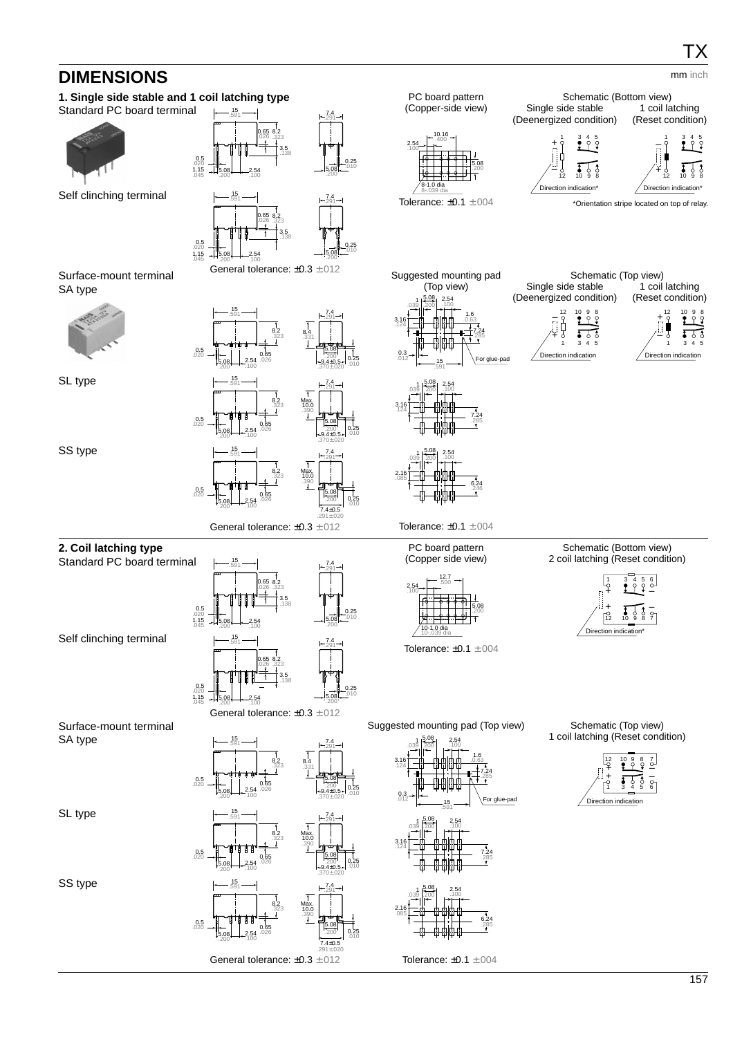# **DIMENSIONS**

#### **1. Single side stable and 1 coil latching type** Standard PC board terminal 0.5  $.020$   $+$   $-$ <br>1.15  $-$  5.08<br> $.045$   $-$  200 .200 2.54 .100 8.2 .323 3.5 .138 0.65 .026 7.4 .291 5.08 .200 0.25 .010 15 .591 Self clinching terminal General tolerance: ±0.3 ±.012  $0.5$  $.020$   $+15.08$ <br> $.045$   $-.200$ 5.**08 - 2.54**<br>.200 100 .100 8.2 .323 3.5 .138 65 .026 7.4 .291 5.08 .200 0.25 15 .591 PC board pattern (Copper-side view) Tolerance: ±0.1 ±.004 5.08 .200 2.54 .100 8-1.0 dia 8-.039 dia 10.16 .400 Schematic (Bottom view) Single side stable (Deenergized condition) 1 coil latching (Reset condition) \*Orientation stripe located on top of relay. Direc 12 10 9 8 1 3 4 5 + – Direction indication\* 12 10 9 8 1 3 4 5 + – Surface-mount terminal SA type 0.5 .020 5.08  $.200 - 1.254$ .100 8.2 **8.2** 8.4<br>323 33 .331 0.65 .026 7.4 .291 5.08  $.200 - 0.25$ .010 15 .591  $+9.4\pm0.5$ <br>.370 $\pm.020$ SL type 0.5 .020 5.08 .200 2.54 .100 8.2 .323 0.65 .026 7.4 .291 5.08  $.200$  0.25 .010 15 .591  $-9.4\pm0.5$ <br> $.370\pm.020$ Max. 10.0 .390 SS type General tolerance: ±0.3 ±.012 0.5 .020 5.08 .200 2.54 .100 8.2 .323 0.65 .026 7.4 .291 5.08  $.200$  0.25 .010 15 .591 7.4±0.5 .291±.020 Max. 10.0 .390 Suggested mounting pad (Top view) Tolerance: ±0.1 ±.004 0.3 .012 3.16 .124  $0.039$   $\begin{array}{|c|c|c|c|c|} 2.54 & 2.54 \\ 0.039 & 200 & 0.100 \end{array}$ .100 5.08 .200 1.6 .0.63 7.24 .285 15 .591 For glue-pad 3.16 .124  $\begin{array}{|c|c|c|c|}\n 1 & 5.08 & 2.54 \\
 \hline\n 039 & 200 & .100\n \end{array}$ .100 5.08 .200 7.24 .285 2.16 .085  $\begin{array}{|c|c|c|c|}\n 1 & 5.08 & 2.54 \\
 \hline\n 200 & .100 & .100\n \end{array}$ .100 5.08 .200 6.24 .246 Schematic (Top view) Single side stable (Deenergized condition) 1 coil latching (Reset condition) Direction indication + — 12 10 9 8<br>— የ ♥ የ 1 3 4 5 Direction indication + – 12 10 9 8 1 3 4 5 mm inch **2. Coil latching type** Standard PC board terminal 0.5  $.020$   $+1.15$ <br>1.15  $-1.5.08$ <br> $.045$   $.200$ 5.**08 - 2.54**<br>.200 100 .100 8.2 .323 3.5 .138 65 .026 7.4 .291 5.08 .200 0.25 15 .591 Self clinching terminal General tolerance: ±0.3 ±.012  $\begin{array}{c} 0.5 \\ 0.20 \\ 1.15 \\ 0.45 \end{array}$  - 5.08 .200 2.54 .100 8.2 .323 3.5 .138 0.65 .026 7.4 .291 5.08 .200 0.25 .010 15 .591 PC board pattern (Copper side view) Tolerance: ±0.1 ±.004 5.08 .200 2.54 .100 10-1.0 dia 10-.039 dia 12.7 .500 Schematic (Bottom view) 2 coil latching (Reset condition) Direction indication\* 12 10 9 8 7 1 3 4 5 6  $\check{+}$ + – – Surface-mount terminal SA type 0.5 .020 5.08 .200 2.54 .100 8.2 **8.2** 8.4<br>323 33 .331 0.65 .026 7.4 .291 5.08  $.200 - 0.25$ .010 15 .591  $+9.4\pm0.5$ <br> $+370\pm.020$ SL type 0.5 .020 5.08 .200 2.54 .100 8.2 .323 0.65 .026 7.4 .291 5.08  $.200$  0.25 .010 15 .591  $+9.4\pm0.5$ <br>.370 $\pm.020$ Max. 10.0 .390 SS type 0.5 .020 8.2 .323 7.4 .291 15 .591 Max. 10.0 .390 Suggested mounting pad (Top view) 0.3 .012 3.16 .124  $\begin{array}{|c|c|c|c|}\n \hline\n 1 & 2.08 & 2.54 \\
 \hline\n 200 & .100 & \hline\n\end{array}$ .100 5.08 .200 1.6 .0.63 7.24 .285 15 .591 For glue-pad 3.16 .124  $\begin{array}{|c|c|c|c|}\n\hline\n1 & 2.00 & 2.54 \\
\hline\n039 & 200 & .100\n\end{array}$ .100 5.08 .200 7.24 .285 2.16 .085  $\begin{array}{|c|c|c|c|}\n\hline\n1 & 2.08 & 2.54 \\
\hline\n039 & 200 & .100\n\end{array}$ .100 5.08 .200 6.24 Schematic (Top view) 1 coil latching (Reset condition) Direction indie + <sup>+</sup> – – 12 10 9 8 7 1 3 4 5 6

General tolerance: ±0.3 ±.012

5.08  $.200$  0.25 .010

7.4±0.5 .291±.020

Tolerance: ±0.1 ±.004

.285

0.65 .026

5.08 .200 2.54 .100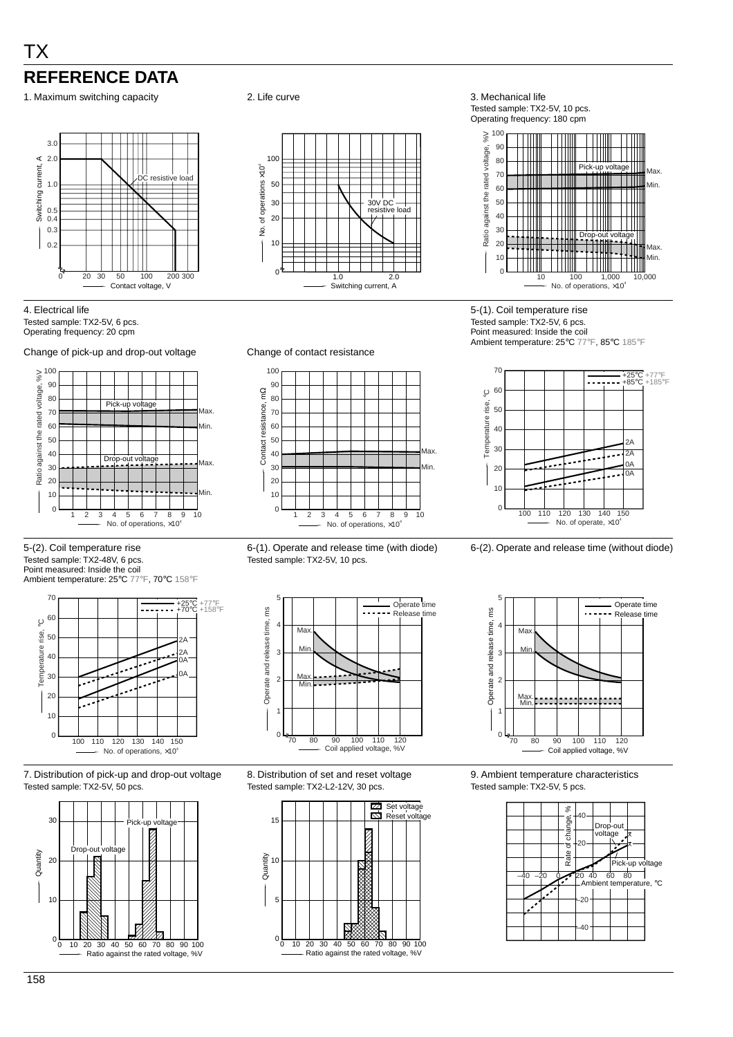# TX **REFERENCE DATA**

1. Maximum switching capacity **2.** Life curve **3. Mechanical life** 3. Mechanical life



#### 4. Electrical life Tested sample: TX2-5V, 6 pcs. Operating frequency: 20 cpm





5-(2). Coil temperature rise Tested sample: TX2-48V, 6 pcs. Point measured: Inside the coil Ambient temperature: 25°C 77°F, 70°C 158°F



7. Distribution of pick-up and drop-out voltage Tested sample: TX2-5V, 50 pcs.





Tested sample: TX2-5V, 10 pcs. Operating frequency: 180 cpm



5-(1). Coil temperature rise Tested sample: TX2-5V, 6 pcs. Point measured: Inside the coil Ambient temperature: 25°C 77°F, 85°C 185°F







8. Distribution of set and reset voltage Tested sample: TX2-L2-12V, 30 pcs.





9. Ambient temperature characteristics Tested sample: TX2-5V, 5 pcs.





90



6-(1). Operate and release time (with diode) Tested sample: TX2-5V, 10 pcs.